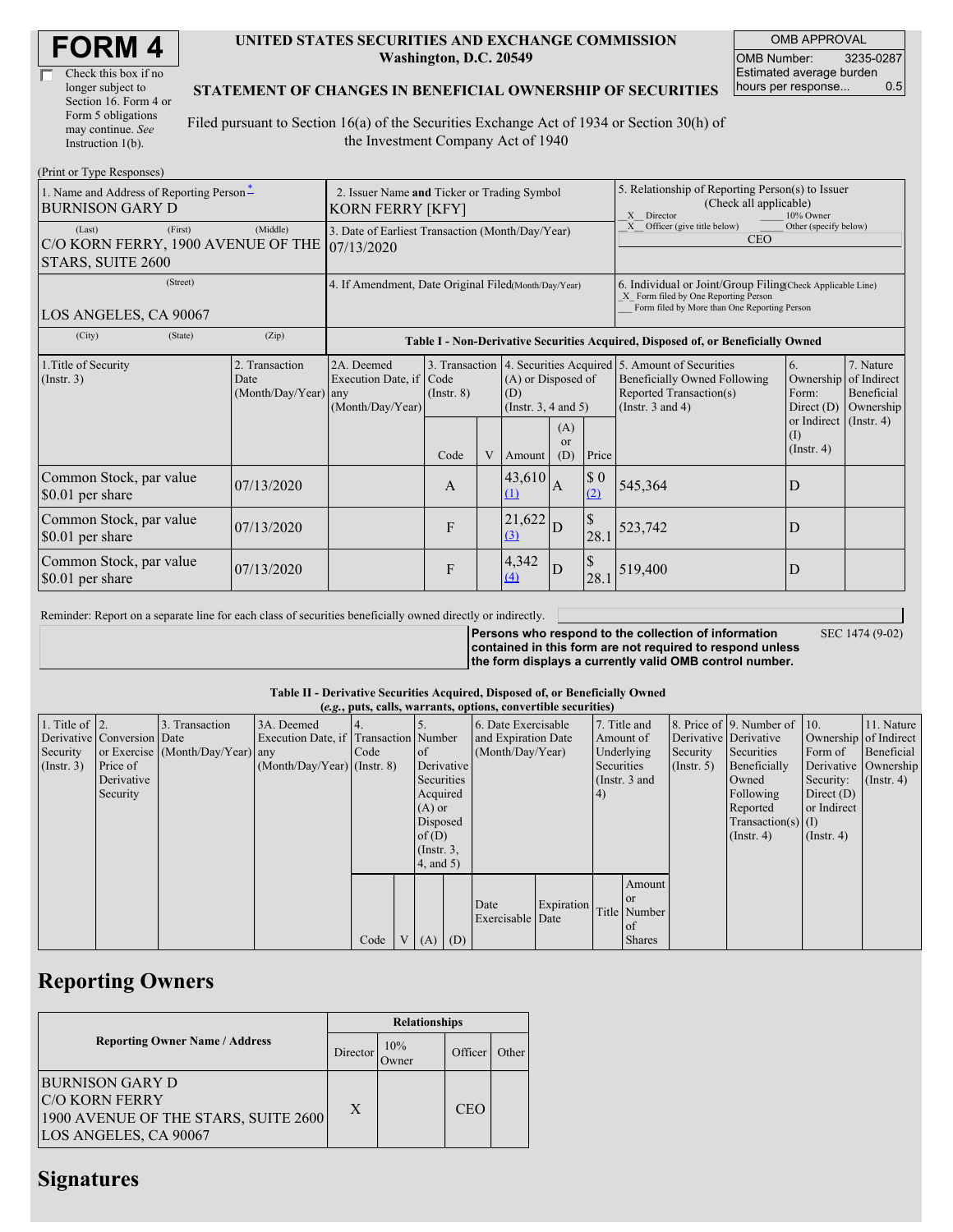| <b>FORM4</b> |
|--------------|
|--------------|

| Check this box if no  |
|-----------------------|
| longer subject to     |
| Section 16. Form 4 or |
| Form 5 obligations    |
| may continue. See     |
| Instruction 1(b).     |

#### **UNITED STATES SECURITIES AND EXCHANGE COMMISSION Washington, D.C. 20549**

OMB APPROVAL OMB Number: 3235-0287 Estimated average burden hours per response... 0.5

### **STATEMENT OF CHANGES IN BENEFICIAL OWNERSHIP OF SECURITIES**

Filed pursuant to Section 16(a) of the Securities Exchange Act of 1934 or Section 30(h) of the Investment Company Act of 1940

| (Print or Type Responses)                                                    |                                                                 |                                                                                  |                 |                                                       |                    |                         |                                                                                                                                                              |                                          |                                                     |  |
|------------------------------------------------------------------------------|-----------------------------------------------------------------|----------------------------------------------------------------------------------|-----------------|-------------------------------------------------------|--------------------|-------------------------|--------------------------------------------------------------------------------------------------------------------------------------------------------------|------------------------------------------|-----------------------------------------------------|--|
| 1. Name and Address of Reporting Person-<br><b>BURNISON GARY D</b>           | 2. Issuer Name and Ticker or Trading Symbol<br>KORN FERRY [KFY] |                                                                                  |                 |                                                       |                    |                         | 5. Relationship of Reporting Person(s) to Issuer<br>(Check all applicable)<br>$\mathbf{x}$<br>Director<br>10% Owner                                          |                                          |                                                     |  |
| (First)<br>(Last)<br>C/O KORN FERRY, 1900 AVENUE OF THE<br>STARS, SUITE 2600 | 3. Date of Earliest Transaction (Month/Day/Year)<br>07/13/2020  |                                                                                  |                 |                                                       |                    |                         | Other (specify below)<br>Officer (give title below)<br><b>CEO</b>                                                                                            |                                          |                                                     |  |
| (Street)<br>LOS ANGELES, CA 90067                                            | 4. If Amendment, Date Original Filed(Month/Day/Year)            |                                                                                  |                 |                                                       |                    |                         | 6. Individual or Joint/Group Filing Check Applicable Line)<br>X Form filed by One Reporting Person<br>Form filed by More than One Reporting Person           |                                          |                                                     |  |
| (City)<br>(State)                                                            | (Zip)                                                           | Table I - Non-Derivative Securities Acquired, Disposed of, or Beneficially Owned |                 |                                                       |                    |                         |                                                                                                                                                              |                                          |                                                     |  |
| 1. Title of Security<br>(Insert. 3)                                          | 2. Transaction<br>Date<br>(Month/Day/Year) any                  | 2A. Deemed<br>Execution Date, if Code<br>(Month/Day/Year)                        | $($ Instr. $8)$ | (A) or Disposed of<br>(D)<br>(Instr. $3, 4$ and $5$ ) |                    |                         | 3. Transaction   4. Securities Acquired   5. Amount of Securities<br><b>Beneficially Owned Following</b><br>Reported Transaction(s)<br>(Instr. $3$ and $4$ ) | 6.<br>Ownership<br>Form:<br>Direct $(D)$ | 7. Nature<br>of Indirect<br>Beneficial<br>Ownership |  |
|                                                                              |                                                                 |                                                                                  | Code            | V                                                     | Amount             | (A)<br><b>or</b><br>(D) | Price                                                                                                                                                        |                                          | or Indirect (Instr. 4)<br>(1)<br>$($ Instr. 4 $)$   |  |
| Common Stock, par value<br>\$0.01 per share                                  | 07/13/2020                                                      |                                                                                  | A               |                                                       | 43,610<br>$\Omega$ | $\overline{A}$          | $\boldsymbol{\$}\ 0$<br>(2)                                                                                                                                  | 545,364                                  | D                                                   |  |
| Common Stock, par value<br>\$0.01 per share                                  | 07/13/2020                                                      |                                                                                  | F               |                                                       | 21,622<br>(3)      | D                       | $\mathbb{S}$<br>28.1                                                                                                                                         | 523,742                                  | D                                                   |  |
| Common Stock, par value<br>\$0.01 per share                                  | 07/13/2020                                                      |                                                                                  | F               |                                                       | 4,342<br>(4)       | D                       | $\mathcal{S}$<br>28.1                                                                                                                                        | 519,400                                  | D                                                   |  |

Reminder: Report on a separate line for each class of securities beneficially owned directly or indirectly.

**Persons who respond to the collection of information contained in this form are not required to respond unless the form displays a currently valid OMB control number.**

SEC 1474 (9-02)

#### **Table II - Derivative Securities Acquired, Disposed of, or Beneficially Owned**

|                        | (e.g., puts, calls, warrants, options, convertible securities) |                                  |                                       |      |                 |                 |            |                     |               |            |                  |                       |                              |                       |            |
|------------------------|----------------------------------------------------------------|----------------------------------|---------------------------------------|------|-----------------|-----------------|------------|---------------------|---------------|------------|------------------|-----------------------|------------------------------|-----------------------|------------|
| 1. Title of $\vert$ 2. |                                                                | 3. Transaction                   | 3A. Deemed                            |      |                 |                 |            | 6. Date Exercisable |               |            | 7. Title and     |                       | 8. Price of 9. Number of 10. |                       | 11. Nature |
|                        | Derivative Conversion Date                                     |                                  | Execution Date, if Transaction Number |      |                 |                 |            | and Expiration Date |               | Amount of  |                  | Derivative Derivative |                              | Ownership of Indirect |            |
| Security               |                                                                | or Exercise (Month/Day/Year) any |                                       | Code |                 | <sub>of</sub>   |            | (Month/Day/Year)    |               | Underlying |                  | Security              | Securities                   | Form of               | Beneficial |
| $($ Instr. 3 $)$       | Price of                                                       |                                  | $(Month/Day/Year)$ (Instr. 8)         |      |                 |                 | Derivative |                     | Securities    |            | $($ Instr. 5 $)$ | Beneficially          | Derivative Ownership         |                       |            |
|                        | Derivative                                                     |                                  |                                       |      |                 |                 | Securities |                     | (Instr. 3 and |            |                  | Owned                 | Security:                    | $($ Instr. 4)         |            |
|                        | Security                                                       |                                  |                                       |      |                 | Acquired        |            |                     | (4)           |            |                  | Following             | Direct $(D)$                 |                       |            |
|                        |                                                                |                                  |                                       |      | $(A)$ or        |                 |            |                     |               |            | Reported         | or Indirect           |                              |                       |            |
|                        |                                                                |                                  |                                       |      | Disposed        |                 |            |                     |               |            |                  |                       | Transaction(s) $(I)$         |                       |            |
|                        |                                                                |                                  |                                       |      | of(D)           |                 |            |                     |               |            |                  |                       | $($ Instr. 4 $)$             | $($ Instr. 4 $)$      |            |
|                        |                                                                |                                  |                                       |      |                 | $($ Instr. $3,$ |            |                     |               |            |                  |                       |                              |                       |            |
|                        |                                                                |                                  |                                       |      | $4$ , and $5$ ) |                 |            |                     |               |            |                  |                       |                              |                       |            |
|                        |                                                                |                                  |                                       |      |                 |                 |            |                     |               |            | Amount           |                       |                              |                       |            |
|                        |                                                                |                                  |                                       |      |                 |                 |            |                     |               |            | <sub>or</sub>    |                       |                              |                       |            |
|                        |                                                                |                                  |                                       |      |                 |                 |            | Date                | Expiration    |            | Title Number     |                       |                              |                       |            |
|                        |                                                                |                                  |                                       |      |                 |                 |            | Exercisable Date    |               |            | of               |                       |                              |                       |            |
|                        |                                                                |                                  |                                       | Code | V <sub>1</sub>  | $(A)$ $(D)$     |            |                     |               |            | <b>Shares</b>    |                       |                              |                       |            |

## **Reporting Owners**

|                                                                                                                   | <b>Relationships</b> |                      |         |       |  |  |  |
|-------------------------------------------------------------------------------------------------------------------|----------------------|----------------------|---------|-------|--|--|--|
| <b>Reporting Owner Name / Address</b>                                                                             | Director             | 10%<br><b>J</b> wner | Officer | Other |  |  |  |
| <b>BURNISON GARY D</b><br><b>IC/O KORN FERRY</b><br>1900 AVENUE OF THE STARS, SUITE 2600<br>LOS ANGELES, CA 90067 | X                    |                      | CEO     |       |  |  |  |

# **Signatures**